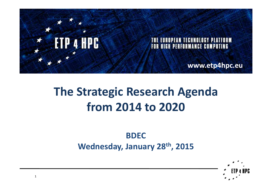

# **The Strategic Research Agenda from 2014 to 2020**

### **BDEC Wednesday, January 28th, 2015**

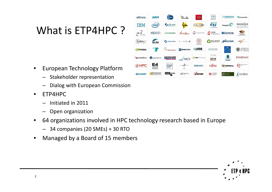# What is ETP4HPC ?

- • European Technology Platform
	- Stakeholder representation
	- Dialog with European Commission
- • ETP4HPC
	- –Initiated in 2011
	- Open organization
- • 64 organizations involved in HPC technology research based in Europe
	- 34 companies (20 SMEs) + 30 RTO
- •Managed by a Board of 15 members



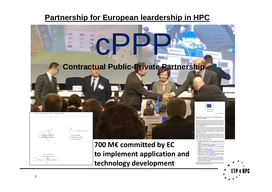### **Partnership for European leardership in HPC**



HPC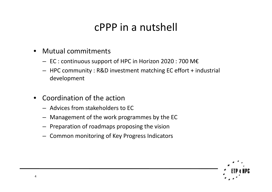# cPPP in a nutshell

- $\bullet$  Mutual commitments
	- $-$  EC : continuous support of HPC in Horizon 2020 : 700 M€
	- HPC community : R&D investment matching EC effort + industrial development
- $\bullet$  Coordination of the action
	- Advices from stakeholders to EC
	- Management of the work programmes by the EC
	- Preparation of roadmaps proposing the vision
	- Common monitoring of Key Progress Indicators

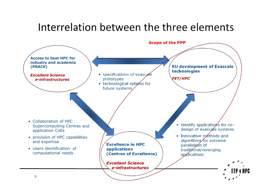## Interrelation between the three elements

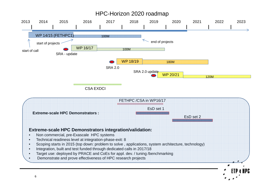#### HPC-Horizon 2020 roadmap



CSA EXDCI

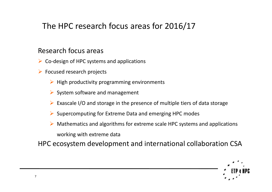### The HPC research focus areas for 2016/17

#### Research focus areas

- $\triangleright$  Co-design of HPC systems and applications
- **►** Focused research projects
	- $\blacktriangleright$  High productivity programming environments
	- $\triangleright$  System software and management
	- Exascale I/O and storage in the presence of multiple tiers of data storage
	- Supercomputing for Extreme Data and emerging HPC modes
	- $\blacktriangleright$  Mathematics and algorithms for extreme scale HPC systems and applications working with extreme data

HPC ecosystem development and international collaboration CSA

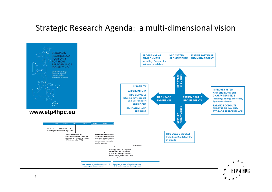#### Strategic Research Agenda: a multi-dimensional vision

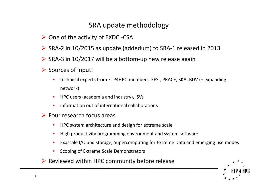#### SRA update methodology

- $\triangleright$  One of the activity of EXDCI-CSA
- SRA-2 in 10/2015 as update (addedum) to SRA-1 released in 2013
- $\triangleright$  SRA-3 in 10/2017 will be a bottom-up new release again
- $\triangleright$  Sources of input:
	- • technical experts from ETP4HPC-members, EESI, PRACE, SKA, BDV (+ expanding network)
	- •HPC users (academia and industry), ISVs
	- •information out of international collaborations
- $\triangleright$  Four research focus areas
	- •HPC system architecture and design for extreme scale
	- •High productivity programming environment and system software
	- •Exascale I/O and storage, Supercomputing for Extreme Data and emerging use modes
	- •Scoping of Extreme Scale Demonstrators
- $\triangleright$  Reviewed within HPC community before release

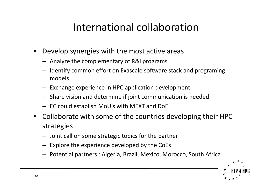# International collaboration

- $\bullet$  Develop synergies with the most active areas
	- Analyze the complementary of R&I programs
	- Identify common effort on Exascale software stack and programing models
	- Exchange experience in HPC application development
	- Share vision and determine if joint communication is needed
	- EC could establish MoU's with MEXT and DoE
- Collaborate with some of the countries developing their HPC strategies
	- Joint call on some strategic topics for the partner
	- Explore the experience developed by the CoEs
	- Potential partners : Algeria, Brazil, Mexico, Morocco, South Africa

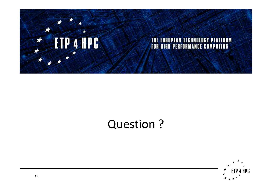

# Question ?